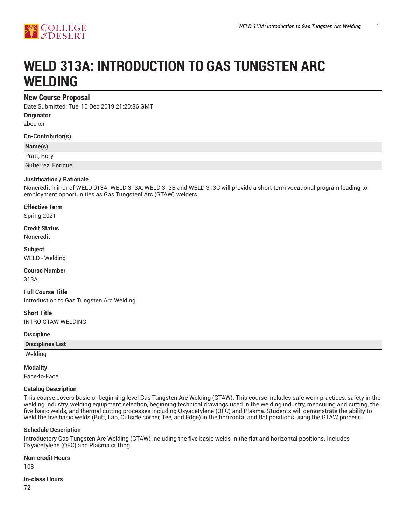

# **WELD 313A: INTRODUCTION TO GAS TUNGSTEN ARC WELDING**

### **New Course Proposal**

Date Submitted: Tue, 10 Dec 2019 21:20:36 GMT **Originator**

zbecker

**Co-Contributor(s)**

#### **Name(s)**

Pratt, Rory

Gutierrez, Enrique

### **Justification / Rationale**

Noncredit mirror of WELD 013A. WELD 313A, WELD 313B and WELD 313C will provide a short term vocational program leading to employment opportunities as Gas Tungstenl Arc (GTAW) welders.

### **Effective Term**

Spring 2021

## **Credit Status**

Noncredit

**Subject** WELD - Welding

**Course Number**

313A

**Full Course Title** Introduction to Gas Tungsten Arc Welding

**Short Title** INTRO GTAW WELDING

#### **Discipline**

#### **Disciplines List**

Welding

#### **Modality**

Face-to-Face

#### **Catalog Description**

This course covers basic or beginning level Gas Tungsten Arc Welding (GTAW). This course includes safe work practices, safety in the welding industry, welding equipment selection, beginning technical drawings used in the welding industry, measuring and cutting, the five basic welds, and thermal cutting processes including Oxyacetylene (OFC) and Plasma. Students will demonstrate the ability to weld the five basic welds (Butt, Lap, Outside corner, Tee, and Edge) in the horizontal and flat positions using the GTAW process.

#### **Schedule Description**

Introductory Gas Tungsten Arc Welding (GTAW) including the five basic welds in the flat and horizontal positions. Includes Oxyacetylene (OFC) and Plasma cutting.

#### **Non-credit Hours**

108

### **In-class Hours**

72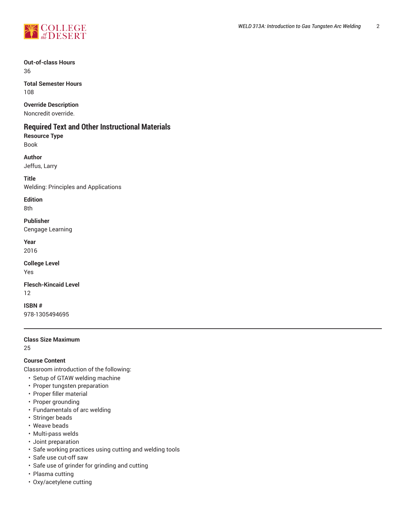

**Out-of-class Hours** 36

**Total Semester Hours** 108

### **Override Description**

Noncredit override.

### **Required Text and Other Instructional Materials**

**Resource Type**

Book

**Author** Jeffus, Larry

**Title**

Welding: Principles and Applications

**Edition**

8th

**Publisher** Cengage Learning

**Year**

2016

**College Level** Yes

**Flesch-Kincaid Level** 12

**ISBN #** 978-1305494695

### **Class Size Maximum**

25

**Course Content**

Classroom introduction of the following:

- Setup of GTAW welding machine
- Proper tungsten preparation
- Proper filler material
- Proper grounding
- Fundamentals of arc welding
- Stringer beads
- Weave beads
- Multi-pass welds
- Joint preparation
- Safe working practices using cutting and welding tools
- Safe use cut-off saw
- Safe use of grinder for grinding and cutting
- Plasma cutting
- Oxy/acetylene cutting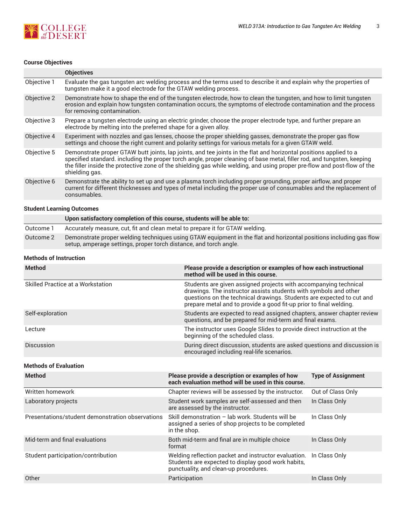

### **Course Objectives**

|             | <b>Objectives</b>                                                                                                                                                                                                                                                                                                                                                                         |
|-------------|-------------------------------------------------------------------------------------------------------------------------------------------------------------------------------------------------------------------------------------------------------------------------------------------------------------------------------------------------------------------------------------------|
| Objective 1 | Evaluate the gas tungsten arc welding process and the terms used to describe it and explain why the properties of<br>tungsten make it a good electrode for the GTAW welding process.                                                                                                                                                                                                      |
| Objective 2 | Demonstrate how to shape the end of the tungsten electrode, how to clean the tungsten, and how to limit tungsten<br>erosion and explain how tungsten contamination occurs, the symptoms of electrode contamination and the process<br>for removing contamination.                                                                                                                         |
| Objective 3 | Prepare a tungsten electrode using an electric grinder, choose the proper electrode type, and further prepare an<br>electrode by melting into the preferred shape for a given alloy.                                                                                                                                                                                                      |
| Objective 4 | Experiment with nozzles and gas lenses, choose the proper shielding gasses, demonstrate the proper gas flow<br>settings and choose the right current and polarity settings for various metals for a given GTAW weld.                                                                                                                                                                      |
| Objective 5 | Demonstrate proper GTAW butt joints, lap joints, and tee joints in the flat and horizontal positions applied to a<br>specified standard. including the proper torch angle, proper cleaning of base metal, filler rod, and tungsten, keeping<br>the filler inside the protective zone of the shielding gas while welding, and using proper pre-flow and post-flow of the<br>shielding gas. |
| Objective 6 | Demonstrate the ability to set up and use a plasma torch including proper grounding, proper airflow, and proper<br>current for different thicknesses and types of metal including the proper use of consumables and the replacement of<br>consumables.                                                                                                                                    |

### **Student Learning Outcomes**

|           | Upon satisfactory completion of this course, students will be able to:                                                                                                                  |
|-----------|-----------------------------------------------------------------------------------------------------------------------------------------------------------------------------------------|
| Outcome 1 | Accurately measure, cut, fit and clean metal to prepare it for GTAW welding.                                                                                                            |
| Outcome 2 | Demonstrate proper welding techniques using GTAW equipment in the flat and horizontal positions including gas flow<br>setup, amperage settings, proper torch distance, and torch angle. |

### **Methods of Instruction**

| <b>Method</b>                            | Please provide a description or examples of how each instructional<br>method will be used in this course.                                                                                                                                                                           |
|------------------------------------------|-------------------------------------------------------------------------------------------------------------------------------------------------------------------------------------------------------------------------------------------------------------------------------------|
| <b>Skilled Practice at a Workstation</b> | Students are given assigned projects with accompanying technical<br>drawings. The instructor assists students with symbols and other<br>questions on the technical drawings. Students are expected to cut and<br>prepare metal and to provide a good fit-up prior to final welding. |
| Self-exploration                         | Students are expected to read assigned chapters, answer chapter review<br>questions, and be prepared for mid-term and final exams.                                                                                                                                                  |
| Lecture                                  | The instructor uses Google Slides to provide direct instruction at the<br>beginning of the scheduled class.                                                                                                                                                                         |
| <b>Discussion</b>                        | During direct discussion, students are asked questions and discussion is<br>encouraged including real-life scenarios.                                                                                                                                                               |

### **Methods of Evaluation**

| <b>Method</b>                                    | Please provide a description or examples of how<br>each evaluation method will be used in this course.                                              | <b>Type of Assignment</b> |
|--------------------------------------------------|-----------------------------------------------------------------------------------------------------------------------------------------------------|---------------------------|
| Written homework                                 | Chapter reviews will be assessed by the instructor.                                                                                                 | Out of Class Only         |
| Laboratory projects                              | Student work samples are self-assessed and then<br>are assessed by the instructor.                                                                  | In Class Only             |
| Presentations/student demonstration observations | Skill demonstration - lab work. Students will be<br>assigned a series of shop projects to be completed<br>in the shop.                              | In Class Only             |
| Mid-term and final evaluations                   | Both mid-term and final are in multiple choice<br>format                                                                                            | In Class Only             |
| Student participation/contribution               | Welding reflection packet and instructor evaluation.<br>Students are expected to display good work habits,<br>punctuality, and clean-up procedures. | In Class Only             |
| Other                                            | Participation                                                                                                                                       | In Class Only             |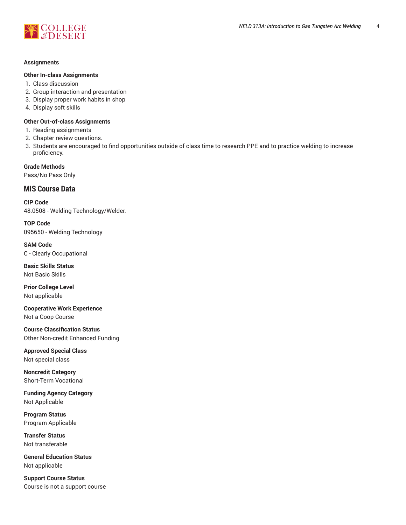

#### **Assignments**

#### **Other In-class Assignments**

- 1. Class discussion
- 2. Group interaction and presentation
- 3. Display proper work habits in shop
- 4. Display soft skills

### **Other Out-of-class Assignments**

- 1. Reading assignments
- 2. Chapter review questions.
- 3. Students are encouraged to find opportunities outside of class time to research PPE and to practice welding to increase proficiency.

**Grade Methods** Pass/No Pass Only

### **MIS Course Data**

**CIP Code** 48.0508 - Welding Technology/Welder.

**TOP Code** 095650 - Welding Technology

**SAM Code** C - Clearly Occupational

**Basic Skills Status** Not Basic Skills

**Prior College Level** Not applicable

**Cooperative Work Experience** Not a Coop Course

**Course Classification Status** Other Non-credit Enhanced Funding

**Approved Special Class** Not special class

**Noncredit Category** Short-Term Vocational

**Funding Agency Category** Not Applicable

**Program Status** Program Applicable

**Transfer Status** Not transferable

**General Education Status** Not applicable

**Support Course Status** Course is not a support course